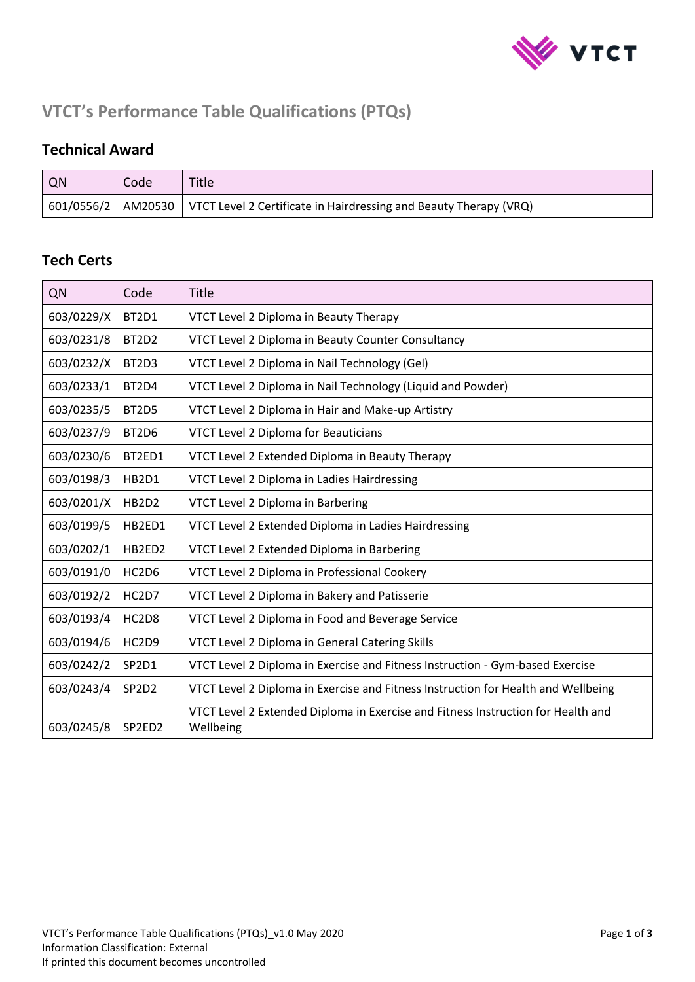

# **VTCT's Performance Table Qualifications (PTQs)**

#### **Technical Award**

| QN | Code | Title                                                                                                        |
|----|------|--------------------------------------------------------------------------------------------------------------|
|    |      | $\vert$ 601/0556/2 $\vert$ AM20530 $\vert$ VTCT Level 2 Certificate in Hairdressing and Beauty Therapy (VRQ) |

#### **Tech Certs**

| QN         | Code                           | Title                                                                                         |
|------------|--------------------------------|-----------------------------------------------------------------------------------------------|
| 603/0229/X | BT2D1                          | VTCT Level 2 Diploma in Beauty Therapy                                                        |
| 603/0231/8 | BT2D2                          | VTCT Level 2 Diploma in Beauty Counter Consultancy                                            |
| 603/0232/X | BT2D3                          | VTCT Level 2 Diploma in Nail Technology (Gel)                                                 |
| 603/0233/1 | BT2D4                          | VTCT Level 2 Diploma in Nail Technology (Liquid and Powder)                                   |
| 603/0235/5 | BT <sub>2</sub> D <sub>5</sub> | VTCT Level 2 Diploma in Hair and Make-up Artistry                                             |
| 603/0237/9 | BT2D6                          | VTCT Level 2 Diploma for Beauticians                                                          |
| 603/0230/6 | BT2ED1                         | VTCT Level 2 Extended Diploma in Beauty Therapy                                               |
| 603/0198/3 | HB2D1                          | VTCT Level 2 Diploma in Ladies Hairdressing                                                   |
| 603/0201/X | HB2D2                          | VTCT Level 2 Diploma in Barbering                                                             |
| 603/0199/5 | HB2ED1                         | VTCT Level 2 Extended Diploma in Ladies Hairdressing                                          |
| 603/0202/1 | HB2ED2                         | VTCT Level 2 Extended Diploma in Barbering                                                    |
| 603/0191/0 | HC2D6                          | VTCT Level 2 Diploma in Professional Cookery                                                  |
| 603/0192/2 | HC2D7                          | VTCT Level 2 Diploma in Bakery and Patisserie                                                 |
| 603/0193/4 | HC2D8                          | VTCT Level 2 Diploma in Food and Beverage Service                                             |
| 603/0194/6 | HC2D9                          | VTCT Level 2 Diploma in General Catering Skills                                               |
| 603/0242/2 | SP2D1                          | VTCT Level 2 Diploma in Exercise and Fitness Instruction - Gym-based Exercise                 |
| 603/0243/4 | SP <sub>2</sub> D <sub>2</sub> | VTCT Level 2 Diploma in Exercise and Fitness Instruction for Health and Wellbeing             |
| 603/0245/8 | SP2ED2                         | VTCT Level 2 Extended Diploma in Exercise and Fitness Instruction for Health and<br>Wellbeing |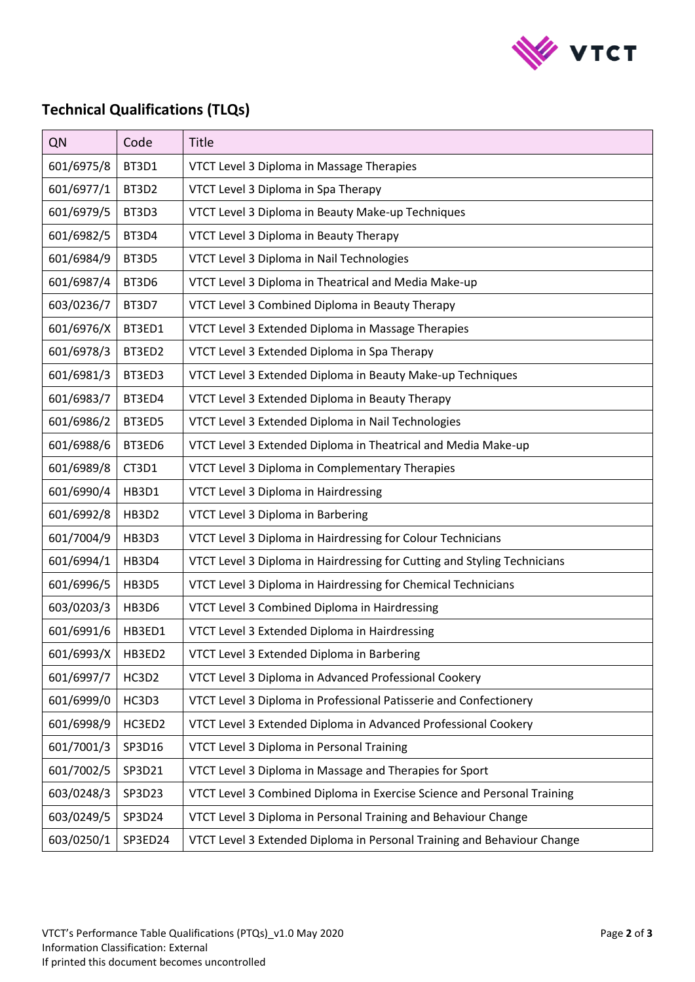

## **Technical Qualifications (TLQs)**

| QN         | Code    | Title                                                                    |
|------------|---------|--------------------------------------------------------------------------|
| 601/6975/8 | BT3D1   | VTCT Level 3 Diploma in Massage Therapies                                |
| 601/6977/1 | BT3D2   | VTCT Level 3 Diploma in Spa Therapy                                      |
| 601/6979/5 | BT3D3   | VTCT Level 3 Diploma in Beauty Make-up Techniques                        |
| 601/6982/5 | BT3D4   | VTCT Level 3 Diploma in Beauty Therapy                                   |
| 601/6984/9 | BT3D5   | VTCT Level 3 Diploma in Nail Technologies                                |
| 601/6987/4 | BT3D6   | VTCT Level 3 Diploma in Theatrical and Media Make-up                     |
| 603/0236/7 | BT3D7   | VTCT Level 3 Combined Diploma in Beauty Therapy                          |
| 601/6976/X | BT3ED1  | VTCT Level 3 Extended Diploma in Massage Therapies                       |
| 601/6978/3 | BT3ED2  | VTCT Level 3 Extended Diploma in Spa Therapy                             |
| 601/6981/3 | BT3ED3  | VTCT Level 3 Extended Diploma in Beauty Make-up Techniques               |
| 601/6983/7 | BT3ED4  | VTCT Level 3 Extended Diploma in Beauty Therapy                          |
| 601/6986/2 | BT3ED5  | VTCT Level 3 Extended Diploma in Nail Technologies                       |
| 601/6988/6 | BT3ED6  | VTCT Level 3 Extended Diploma in Theatrical and Media Make-up            |
| 601/6989/8 | CT3D1   | VTCT Level 3 Diploma in Complementary Therapies                          |
| 601/6990/4 | HB3D1   | VTCT Level 3 Diploma in Hairdressing                                     |
| 601/6992/8 | HB3D2   | VTCT Level 3 Diploma in Barbering                                        |
| 601/7004/9 | HB3D3   | VTCT Level 3 Diploma in Hairdressing for Colour Technicians              |
| 601/6994/1 | HB3D4   | VTCT Level 3 Diploma in Hairdressing for Cutting and Styling Technicians |
| 601/6996/5 | HB3D5   | VTCT Level 3 Diploma in Hairdressing for Chemical Technicians            |
| 603/0203/3 | HB3D6   | VTCT Level 3 Combined Diploma in Hairdressing                            |
| 601/6991/6 | HB3ED1  | VTCT Level 3 Extended Diploma in Hairdressing                            |
| 601/6993/X | HB3ED2  | VTCT Level 3 Extended Diploma in Barbering                               |
| 601/6997/7 | HC3D2   | VTCT Level 3 Diploma in Advanced Professional Cookery                    |
| 601/6999/0 | HC3D3   | VTCT Level 3 Diploma in Professional Patisserie and Confectionery        |
| 601/6998/9 | HC3ED2  | VTCT Level 3 Extended Diploma in Advanced Professional Cookery           |
| 601/7001/3 | SP3D16  | VTCT Level 3 Diploma in Personal Training                                |
| 601/7002/5 | SP3D21  | VTCT Level 3 Diploma in Massage and Therapies for Sport                  |
| 603/0248/3 | SP3D23  | VTCT Level 3 Combined Diploma in Exercise Science and Personal Training  |
| 603/0249/5 | SP3D24  | VTCT Level 3 Diploma in Personal Training and Behaviour Change           |
| 603/0250/1 | SP3ED24 | VTCT Level 3 Extended Diploma in Personal Training and Behaviour Change  |